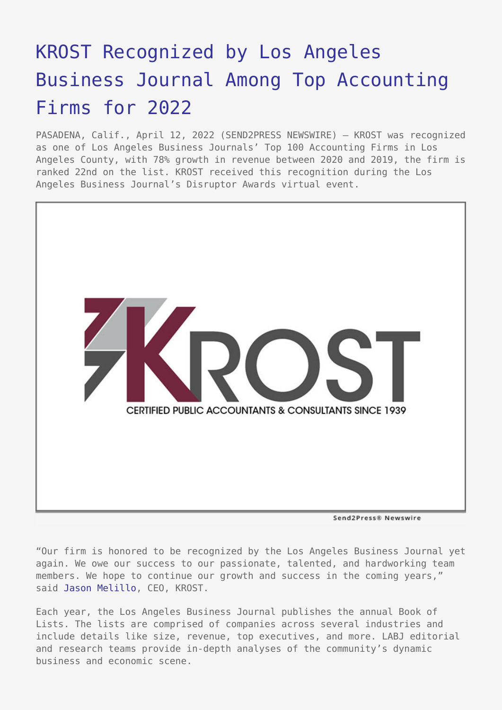## [KROST Recognized by Los Angeles](https://www.send2press.com/wire/krost-recognized-by-los-angeles-business-journal-as-among-top-accounting-firms-for-2022/) [Business Journal Among Top Accounting](https://www.send2press.com/wire/krost-recognized-by-los-angeles-business-journal-as-among-top-accounting-firms-for-2022/) [Firms for 2022](https://www.send2press.com/wire/krost-recognized-by-los-angeles-business-journal-as-among-top-accounting-firms-for-2022/)

PASADENA, Calif., April 12, 2022 (SEND2PRESS NEWSWIRE) — KROST was recognized as one of Los Angeles Business Journals' Top 100 Accounting Firms in Los Angeles County, with 78% growth in revenue between 2020 and 2019, the firm is ranked 22nd on the list. KROST received this recognition during the Los Angeles Business Journal's Disruptor Awards virtual event.



Send2Press® Newswire

"Our firm is honored to be recognized by the Los Angeles Business Journal yet again. We owe our success to our passionate, talented, and hardworking team members. We hope to continue our growth and success in the coming years," said [Jason Melillo,](https://www.krostcpas.com/management/jason-melillo) CEO, KROST.

Each year, the Los Angeles Business Journal publishes the annual Book of Lists. The lists are comprised of companies across several industries and include details like size, revenue, top executives, and more. LABJ editorial and research teams provide in-depth analyses of the community's dynamic business and economic scene.